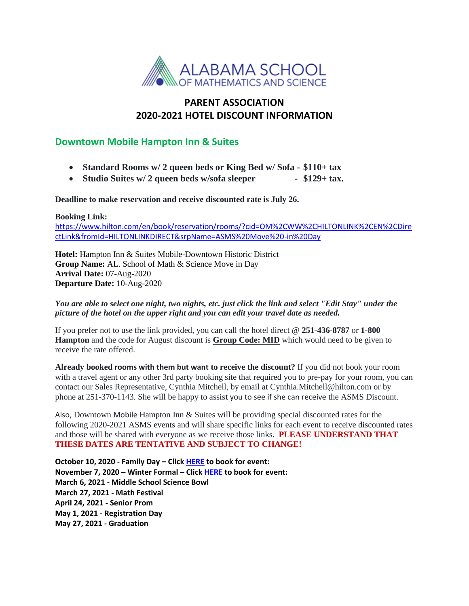

## **PARENT ASSOCIATION 2020-2021 HOTEL DISCOUNT INFORMATION**

## **Downtown Mobile Hampton Inn & Suites**

- **Standard Rooms w/ 2 queen beds or King Bed w/ Sofa - \$110+ tax**
- Studio Suites w/ 2 queen beds w/sofa sleeper \$129+ tax.

**Deadline to make reservation and receive discounted rate is July 26.**

**Booking Link:** 

[https://www.hilton.com/en/book/reservation/rooms/?cid=OM%2CWW%2CHILTONLINK%2CEN%2CDire](https://www.hilton.com/en/book/reservation/rooms/?cid=OM%2CWW%2CHILTONLINK%2CEN%2CDirectLink&fromId=HILTONLINKDIRECT&srpName=ASMS%20Move%20-in%20Day) [ctLink&fromId=HILTONLINKDIRECT&srpName=ASMS%20Move%20-in%20Day](https://www.hilton.com/en/book/reservation/rooms/?cid=OM%2CWW%2CHILTONLINK%2CEN%2CDirectLink&fromId=HILTONLINKDIRECT&srpName=ASMS%20Move%20-in%20Day)

**Hotel:** Hampton Inn & Suites Mobile-Downtown Historic District **Group Name:** AL. School of Math & Science Move in Day **Arrival Date:** 07-Aug-2020 **Departure Date:** 10-Aug-2020

## *You are able to select one night, two nights, etc. just click the link and select "Edit Stay" under the picture of the hotel on the upper right and you can edit your travel date as needed.*

If you prefer not to use the link provided, you can call the hotel direct @ **251-436-8787** or **1-800 Hampton** and the code for August discount is **Group Code: MID** which would need to be given to receive the rate offered.

**Already booked rooms with them but want to receive the discount?** If you did not book your room with a travel agent or any other 3rd party booking site that required you to pre-pay for your room, you can contact our Sales Representative, Cynthia Mitchell, by email at Cynthia.Mitchell@hilton.com or by phone at 251-370-1143. She will be happy to assist you to see if she can receive the ASMS Discount.

Also, Downtown Mobile Hampton Inn  $\&$  Suites will be providing special discounted rates for the following 2020-2021 ASMS events and will share specific links for each event to receive discounted rates and those will be shared with everyone as we receive those links. **PLEASE UNDERSTAND THAT THESE DATES ARE TENTATIVE AND SUBJECT TO CHANGE!**

**October 10, 2020 - Family Day – Click [HERE](https://nam02.safelinks.protection.outlook.com/?url=https%3A%2F%2Fsecure3.hilton.com%2Fen_US%2Fhp%2Freservation%2Fbook.htm%3FinputModule%3DHOTEL%26ctyhocn%3DMOBDTHX%26spec_plan%3DCHHFFD%26arrival%3D20201008%26departure%3D20201011%26cid%3DOM%2CWW%2CHILTONLINK%2CEN%2CDirectLink%26fromId%3DHILTONLINKDIRECT&data=02%7C01%7CCynthia.Mitchell%40hilton.com%7C1466da824d7e4dee76fe08d81f6b84ce%7C660292d2cfd54a3db7a7e8f7ee458a0a%7C0%7C0%7C637293893928536046&sdata=2tzoss8MWhbWeZ2YZ9eMgIpXBB6vFZ5QffgvPVeB%2FmA%3D&reserved=0) to book for event: November 7, 2020 – Winter Formal – Clic[k HERE](https://nam02.safelinks.protection.outlook.com/?url=https%3A%2F%2Fsecure3.hilton.com%2Fen_US%2Fhp%2Freservation%2Fbook.htm%3FinputModule%3DHOTEL%26ctyhocn%3DMOBDTHX%26spec_plan%3DCHHWFD%26arrival%3D20201105%26departure%3D20201108%26cid%3DOM%2CWW%2CHILTONLINK%2CEN%2CDirectLink%26fromId%3DHILTONLINKDIRECT&data=02%7C01%7CCynthia.Mitchell%40hilton.com%7Cd8c769b6b9e8437fa47c08d81f70f888%7C660292d2cfd54a3db7a7e8f7ee458a0a%7C0%7C0%7C637293917346367443&sdata=B%2BBSl3sTXrsV70m8TuRWlyG7gQVn0fNhdFBzCf5XEbE%3D&reserved=0) to book for event: March 6, 2021 - Middle School Science Bowl March 27, 2021 - Math Festival April 24, 2021 - Senior Prom May 1, 2021 - Registration Day May 27, 2021 - Graduation**